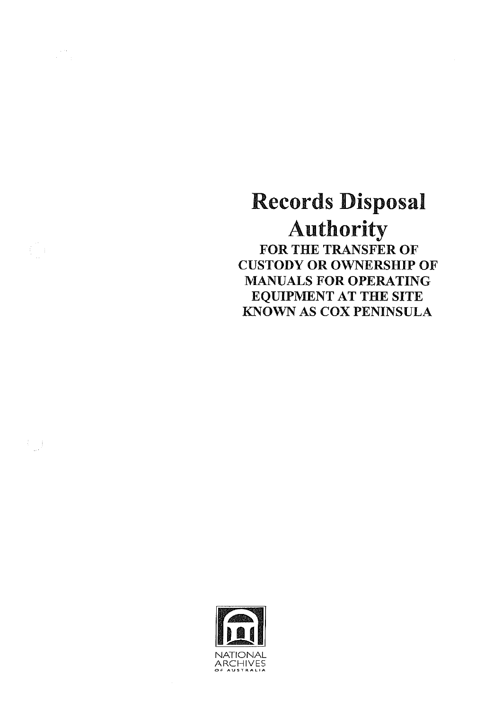Records Disposal Authority FOR THE TRANSFER OF CUSTODY **OR** OWNERSHIP OF MANUALS FOR OPERATING EQUIPMENT AT THE SITE KNOWN AS COX PENINSULA



 $\begin{pmatrix} 1 & 0 \\ 0 & 1 \end{pmatrix}$ 

 $\left(\begin{array}{c} 1 \\ 0 \end{array}\right)$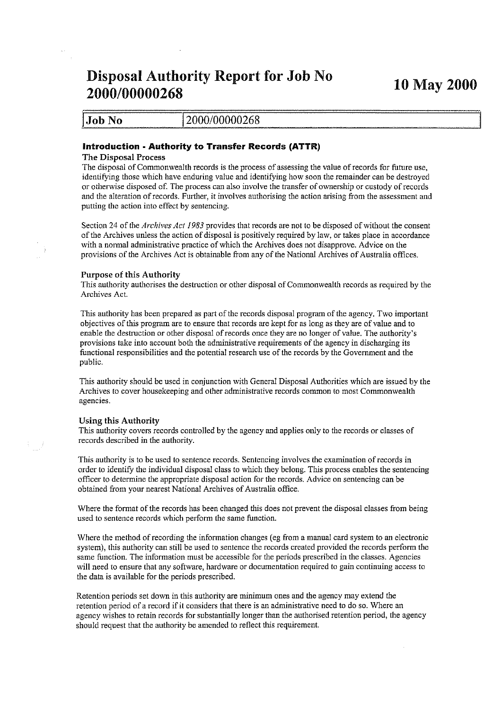# Disposal Authority Report for Job No 10 May 2000<br>2000/00000268

| 2000/00000268<br> Job No |  |  |
|--------------------------|--|--|
|                          |  |  |

# Introduction· Authority to Transfer Records (ATTR)

## The Disposal Process

The disposal of Commonwealth records is the process of assessing the value of records for future use, identifying those which have enduring value and identifying how soon the remainder can be destroyed or otherwise disposed of. The process can also involve the transfer of ownership or custody of records and the alteration of records. Further, it involves authorising the action arising from the assessment and putting the action into effect by sentencing.

Section 24 of the *Archives Act* 1983 provides that records are not to be disposed of without the consent of the Archives unless the action of disposal is positively required by law, or takes place in accordance with a normal administrative practice of which the Archives does not disapprove. Advice on the provisions of the Archives Act is obtainable from any of the National Archives of Australia offices.

## *Purpose* of this Authority

This authority authorises the destruction or other disposal of Commonwealth records as required by the Archives Act.

This authority has been prepared as part of the records disposal program of the agency. Two important objectives of this program are to ensure that records are kept for as long as they are of value and to enable the destruction or other disposal of records once they are no longer of value. The authority's provisions take into account both the administrative requirements of the agency in discharging its functional responsibilities and the potential research use of the records by the Government and the public.

This authority should be used in conjunction with General Disposal Authorities which are issued by the Archives to cover housekeeping and other administrative records common to most Commonwealth agencies.

## Using this Authority

Tins authority covers records controlled by the agency and applies only to the records or classes of records described in the authority.

This authority is to be used to sentence records. Sentencing involves the examination of records in order to identify the individual disposal class to which they belong. This process enables the sentencing officer to determine the appropriate disposal action for the records. Advice on sentencing can be obtained from your nearest National Archives of Australia office.

Where the format of the records has been changed this does not prevent the disposal classes from being used to sentence records which perform the same function.

Where the method of recording the information changes (eg from a manual card system to an electronic system), this authority can still be used to sentence the records created provided the records perform the same function. The information must be accessible for the periods prescribed in the classes. Agencies will need to ensure that any software, hardware or documentation required to gain continuing access to the data is available for the periods prescribed.

Retention periods set down in this authority are minimum ones and the agency may extend the retention period of a record if it considers that there is an administrative need to do so. Where an agency wishes to retain records for substantially longer than the authorised retention period, the agency should request that the authority be amended to reflect this requirement.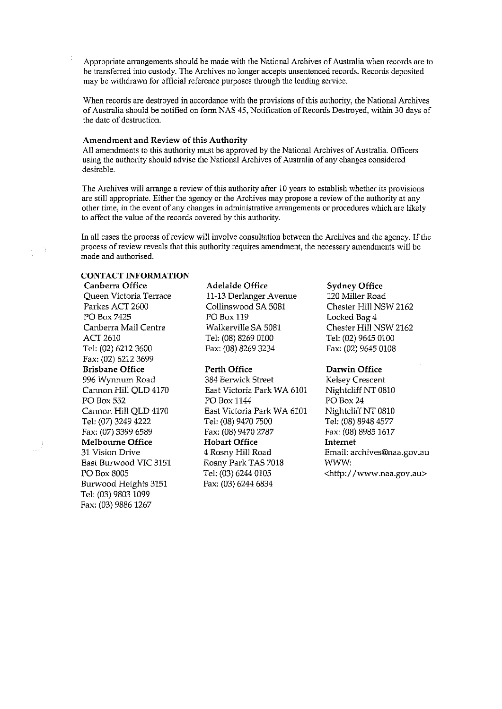Appropriate arrangements should be made with the National Archives of Australia when records are to be transferred into custody. The Archives no longer accepts unsentenced records. Records deposited may be withdrawn for official reference purposes through the lending service.

When records are destroyed in accordance with the provisions of this authority, the National Archives of Australia should be notified on form NAS 45, Notification of Records Destroyed, within 30 days of the date of destruction.

# Amendment and Review of this Authority

All amendments to this authority must be approved by the National Archives of Australia. Officers using the authority should advise the National Archives of Australia of any changes considered desirable.

The Archives will arrange a review of this authority after 10 years to establish whether its provisions are still appropriate. Either the agency or the Archives may propose a review of the authority at any **other time, in the event of any changes in administrative arrangements or procedures which are likely to affect the value of the records covered by this authority.** 

In all cases the process of review will involve consultation between the Archives and the agency. If the **process of review reveals that this authority requires amendment, thenecessary amendments will be made and authorised.** 

# CONTACT **INFORMATION**

Parkes ACT 2600 Collinswood SA 5081 Chester Hill NSW 2162 PO Box 7425 PO Box 119 Locked Bag 4 Canberra Mail Centre Walkerville SA 5081 Chester Hill NSW 2162 ACT 2610 Tel: (08) 8269 0100 Tel: (02) 9645 0100 Tel: (02) 62123600 Fax: (08) 8269 3234 Fax: (02) 9645 0108 Fax: (02) 6212 3699 Brisbane Office **Perth Office** Darwin Office Burwood Heights 3151 Fax: (03) 6244 6834 Tel: (03) 9803 1099 Fax: (03) 9886 1267

# Canberra Office **Adelaide Office** Sydney Office<br>
Queen Victoria Terrace 11-13 Derlanger Avenue 120 Miller Road 11-13 Derlanger Avenue

# 996 Wynnum Road 384 Berwick Street Kelsey Crescent East Victoria Park WA 6101 Nightcliff NT 0810 PO Box 552 PO Box 1144 PO Box 24 Cannon Hill QLD 4170 **East Victoria Park WA 6101** Nightcliff NT 0810 Tel: (07) 3249 4222 Tel: (08) 9470 7500 Tel: (08) 8948 4577 Fax: (07) 3399 6589 Fax: (08) 9470 2787 Fax: (08) 8985 1617 Melbourne Office Hobart Office Internet 31 Vision Drive 4 Rosny Hill Road Email: archives@naa.gov.au East Burwood VIC 3151 Rosny Park TAS 7018 WWW: PO Box 8005 Tel: (03) 6244 0105 <http://www.naa.gov.au>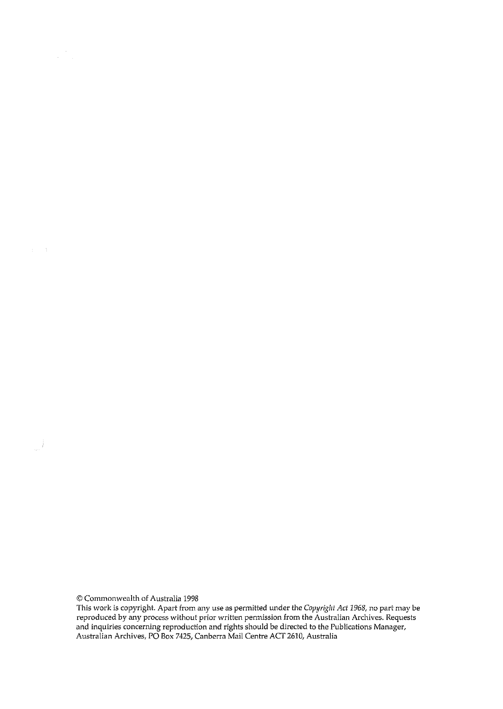© Commonwealth of Australia 1998

 $\label{eq:3.1} \mathcal{A} = \mathcal{A} \left( \begin{smallmatrix} 1 & 0 & 0 & 0 \\ 0 & 0 & 0 & 0 \\ 0 & 0 & 0 & 0 \\ 0 & 0 & 0 & 0 \\ 0 & 0 & 0 & 0 \\ 0 & 0 & 0 & 0 \\ 0 & 0 & 0 & 0 \\ 0 & 0 & 0 & 0 \\ 0 & 0 & 0 & 0 & 0 \\ 0 & 0 & 0 & 0 & 0 \\ 0 & 0 & 0 & 0 & 0 \\ 0 & 0 & 0 & 0 & 0 \\ 0 & 0 & 0 & 0 & 0 \\ 0 & 0 & 0 & 0 & 0 & 0 \\$ 

**This work is copyright. Apart from any use as permitted under the** *Copyright Act* **1968, no part may be reproduced by any process without prior written permission from the Australian Archives. Requests and inquiries concerning reproduction and rights should be directed to the Publications** Manager, Australian Archives, PO Box 7425,Canberra Mail Centre ACT 2610, Australia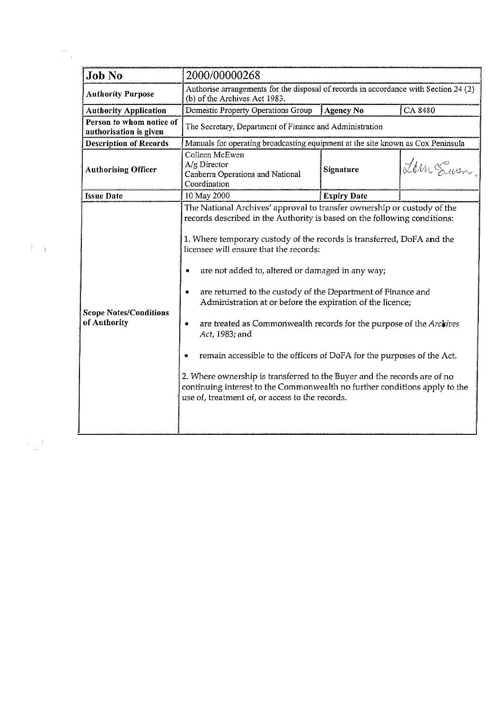| <b>Authority Purpose</b><br>(b) of the Archives Act 1983.<br>Domestic Property Operations Group<br>CA 8480<br>Agency No<br><b>Authority Application</b><br>Person to whom notice of<br>The Secretary, Department of Finance and Administration<br>authorisation is given<br><b>Description of Records</b><br>Manuals for operating broadcasting equipment at the site known as Cox Peninsula<br>Colleen McEwen<br>$A/g$ Director<br><b>Authorising Officer</b><br>Signature<br>Canberra Operations and National<br>Coordination<br>10 May 2000<br><b>Issue Date</b><br><b>Expiry Date</b><br>The National Archives' approval to transfer ownership or custody of the<br>records described in the Authority is based on the following conditions:<br>1. Where temporary custody of the records is transferred, DoFA and the<br>licensee will ensure that the records:<br>are not added to, altered or damaged in any way;<br>are returned to the custody of the Department of Finance and<br>Administration at or before the expiration of the licence;<br><b>Scope Notes/Conditions</b><br>of Authority<br>are treated as Commonwealth records for the purpose of the Archives<br>۰<br>Act, 1983; and<br>remain accessible to the officers of DoFA for the purposes of the Act.<br>2. Where ownership is transferred to the Buyer and the records are of no<br>use of, treatment of, or access to the records. | <b>Job No</b> | 2000/00000268<br>Authorise arrangements for the disposal of records in accordance with Section 24 (2) |  |          |
|----------------------------------------------------------------------------------------------------------------------------------------------------------------------------------------------------------------------------------------------------------------------------------------------------------------------------------------------------------------------------------------------------------------------------------------------------------------------------------------------------------------------------------------------------------------------------------------------------------------------------------------------------------------------------------------------------------------------------------------------------------------------------------------------------------------------------------------------------------------------------------------------------------------------------------------------------------------------------------------------------------------------------------------------------------------------------------------------------------------------------------------------------------------------------------------------------------------------------------------------------------------------------------------------------------------------------------------------------------------------------------------------------------------|---------------|-------------------------------------------------------------------------------------------------------|--|----------|
|                                                                                                                                                                                                                                                                                                                                                                                                                                                                                                                                                                                                                                                                                                                                                                                                                                                                                                                                                                                                                                                                                                                                                                                                                                                                                                                                                                                                                |               |                                                                                                       |  |          |
|                                                                                                                                                                                                                                                                                                                                                                                                                                                                                                                                                                                                                                                                                                                                                                                                                                                                                                                                                                                                                                                                                                                                                                                                                                                                                                                                                                                                                |               |                                                                                                       |  |          |
|                                                                                                                                                                                                                                                                                                                                                                                                                                                                                                                                                                                                                                                                                                                                                                                                                                                                                                                                                                                                                                                                                                                                                                                                                                                                                                                                                                                                                |               |                                                                                                       |  |          |
|                                                                                                                                                                                                                                                                                                                                                                                                                                                                                                                                                                                                                                                                                                                                                                                                                                                                                                                                                                                                                                                                                                                                                                                                                                                                                                                                                                                                                |               |                                                                                                       |  |          |
|                                                                                                                                                                                                                                                                                                                                                                                                                                                                                                                                                                                                                                                                                                                                                                                                                                                                                                                                                                                                                                                                                                                                                                                                                                                                                                                                                                                                                |               |                                                                                                       |  | Lem Susn |
|                                                                                                                                                                                                                                                                                                                                                                                                                                                                                                                                                                                                                                                                                                                                                                                                                                                                                                                                                                                                                                                                                                                                                                                                                                                                                                                                                                                                                |               |                                                                                                       |  |          |
|                                                                                                                                                                                                                                                                                                                                                                                                                                                                                                                                                                                                                                                                                                                                                                                                                                                                                                                                                                                                                                                                                                                                                                                                                                                                                                                                                                                                                |               | continuing interest to the Commonwealth no further conditions apply to the                            |  |          |